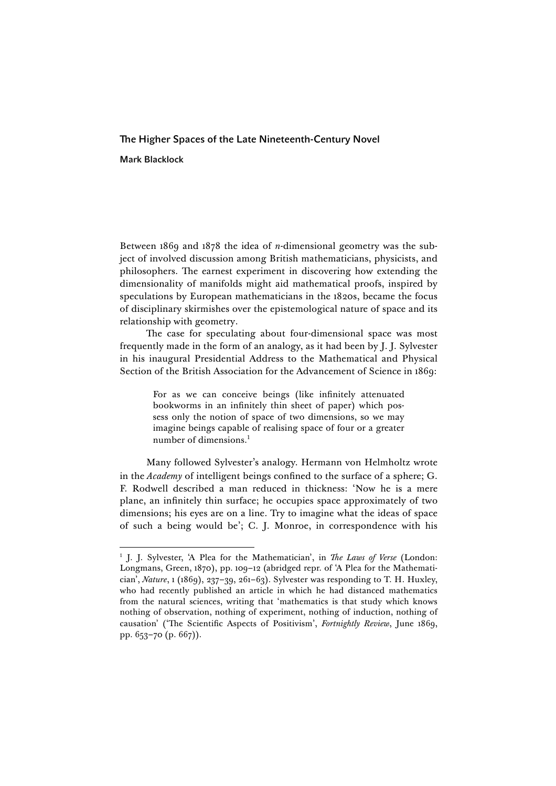# The Higher Spaces of the Late Nineteenth-Century Novel Mark Blacklock

<u> 1989 - Johann Stein, fransk politik (d. 1989)</u>

Between 1869 and 1878 the idea of *n*-dimensional geometry was the subject of involved discussion among British mathematicians, physicists, and philosophers. The earnest experiment in discovering how extending the dimensionality of manifolds might aid mathematical proofs, inspired by speculations by European mathematicians in the 1820s, became the focus of disciplinary skirmishes over the epistemological nature of space and its relationship with geometry.

The case for speculating about four-dimensional space was most frequently made in the form of an analogy, as it had been by J. J. Sylvester in his inaugural Presidential Address to the Mathematical and Physical Section of the British Association for the Advancement of Science in 1869:

> For as we can conceive beings (like infinitely attenuated bookworms in an infinitely thin sheet of paper) which possess only the notion of space of two dimensions, so we may imagine beings capable of realising space of four or a greater number of dimensions.1

Many followed Sylvester's analogy. Hermann von Helmholtz wrote in the *Academy* of intelligent beings confined to the surface of a sphere; G. F. Rodwell described a man reduced in thickness: 'Now he is a mere plane, an infinitely thin surface; he occupies space approximately of two dimensions; his eyes are on a line. Try to imagine what the ideas of space of such a being would be'; C. J. Monroe, in correspondence with his

<sup>1</sup> J. J. Sylvester, 'A Plea for the Mathematician', in *The Laws of Verse* (London: Longmans, Green, 1870), pp. 109–12 (abridged repr. of 'A Plea for the Mathematician', *Nature*, 1 (1869), 237–39, 261–63). Sylvester was responding to T. H. Huxley, who had recently published an article in which he had distanced mathematics from the natural sciences, writing that 'mathematics is that study which knows nothing of observation, nothing of experiment, nothing of induction, nothing of causation' ('The Scientific Aspects of Positivism', *Fortnightly Review*, June 1869, pp. 653–70 (p. 667)).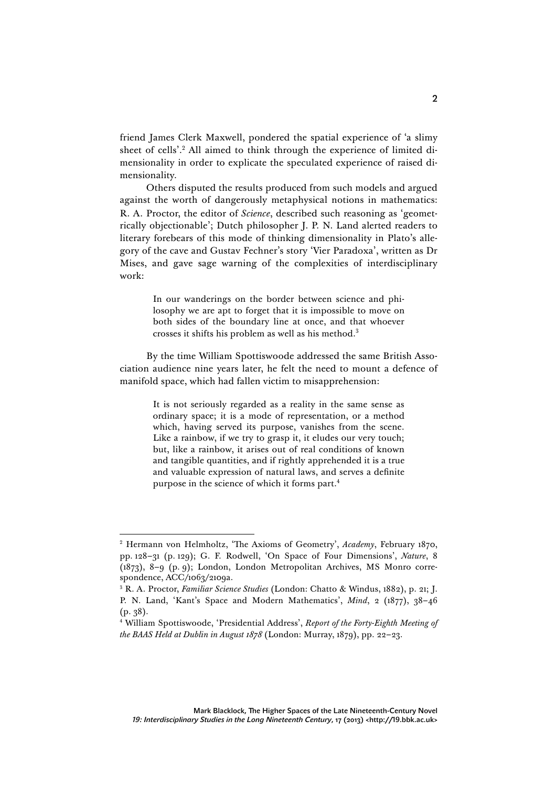friend James Clerk Maxwell, pondered the spatial experience of 'a slimy sheet of cells'.<sup>2</sup> All aimed to think through the experience of limited dimensionality in order to explicate the speculated experience of raised dimensionality.

Others disputed the results produced from such models and argued against the worth of dangerously metaphysical notions in mathematics: R. A. Proctor, the editor of *Science*, described such reasoning as 'geometrically objectionable'; Dutch philosopher J. P. N. Land alerted readers to literary forebears of this mode of thinking dimensionality in Plato's allegory of the cave and Gustav Fechner's story 'Vier Paradoxa', written as Dr Mises, and gave sage warning of the complexities of interdisciplinary work:

> In our wanderings on the border between science and philosophy we are apt to forget that it is impossible to move on both sides of the boundary line at once, and that whoever crosses it shifts his problem as well as his method.3

By the time William Spottiswoode addressed the same British Association audience nine years later, he felt the need to mount a defence of manifold space, which had fallen victim to misapprehension:

> It is not seriously regarded as a reality in the same sense as ordinary space; it is a mode of representation, or a method which, having served its purpose, vanishes from the scene. Like a rainbow, if we try to grasp it, it eludes our very touch; but, like a rainbow, it arises out of real conditions of known and tangible quantities, and if rightly apprehended it is a true and valuable expression of natural laws, and serves a definite purpose in the science of which it forms part.<sup>4</sup>

<u> 1989 - Johann Stein, fransk politik (d. 1989)</u>

<sup>2</sup> Hermann von Helmholtz, 'The Axioms of Geometry', *Academy*, February 1870, pp. 128–31 (p. 129); G. F. Rodwell, 'On Space of Four Dimensions', *Nature*, 8 (1873), 8–9 (p. 9); London, London Metropolitan Archives, MS Monro correspondence, ACC/1063/2109a.

<sup>3</sup> R. A. Proctor, *Familiar Science Studies* (London: Chatto & Windus, 1882), p. 21; J. P. N. Land, 'Kant's Space and Modern Mathematics', *Mind*, 2 (1877), 38–46 (p. 38).

<sup>4</sup> William Spottiswoode, 'Presidential Address', *Report of the Forty-Eighth Meeting of the BAAS Held at Dublin in August 1878* (London: Murray, 1879), pp. 22–23.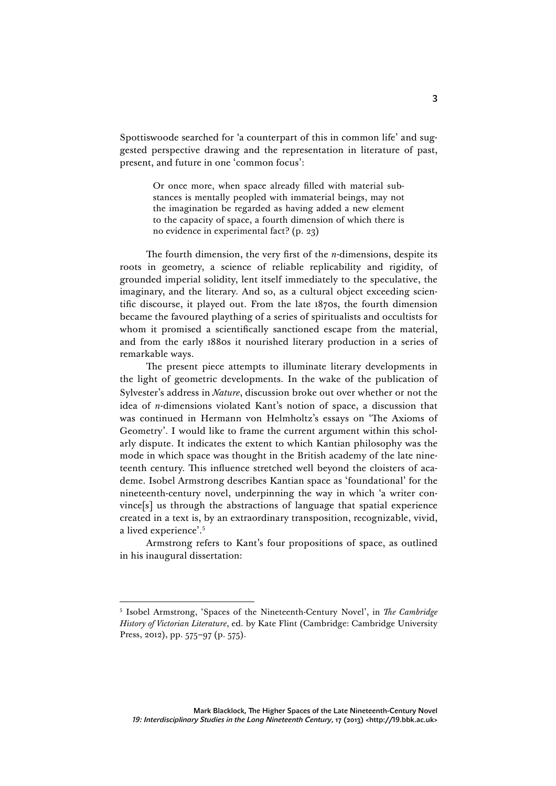Spottiswoode searched for 'a counterpart of this in common life' and suggested perspective drawing and the representation in literature of past, present, and future in one 'common focus':

> Or once more, when space already filled with material substances is mentally peopled with immaterial beings, may not the imagination be regarded as having added a new element to the capacity of space, a fourth dimension of which there is no evidence in experimental fact? (p. 23)

The fourth dimension, the very first of the *n*-dimensions, despite its roots in geometry, a science of reliable replicability and rigidity, of grounded imperial solidity, lent itself immediately to the speculative, the imaginary, and the literary. And so, as a cultural object exceeding scientific discourse, it played out. From the late 1870s, the fourth dimension became the favoured plaything of a series of spiritualists and occultists for whom it promised a scientifically sanctioned escape from the material, and from the early 1880s it nourished literary production in a series of remarkable ways.

The present piece attempts to illuminate literary developments in the light of geometric developments. In the wake of the publication of Sylvester's address in *Nature*, discussion broke out over whether or not the idea of *n*-dimensions violated Kant's notion of space, a discussion that was continued in Hermann von Helmholtz's essays on 'The Axioms of Geometry'. I would like to frame the current argument within this scholarly dispute. It indicates the extent to which Kantian philosophy was the mode in which space was thought in the British academy of the late nineteenth century. This influence stretched well beyond the cloisters of academe. Isobel Armstrong describes Kantian space as 'foundational' for the nineteenth-century novel, underpinning the way in which 'a writer convince[s] us through the abstractions of language that spatial experience created in a text is, by an extraordinary transposition, recognizable, vivid, a lived experience'.5

Armstrong refers to Kant's four propositions of space, as outlined in his inaugural dissertation:

<sup>5</sup> Isobel Armstrong, 'Spaces of the Nineteenth-Century Novel', in *The Cambridge History of Victorian Literature*, ed. by Kate Flint (Cambridge: Cambridge University Press, 2012), pp. 575–97 (p. 575).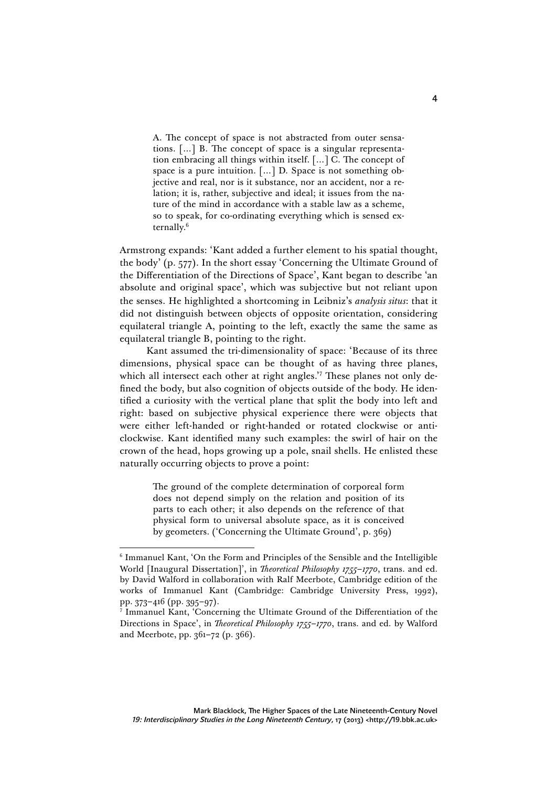A. The concept of space is not abstracted from outer sensations. […] B. The concept of space is a singular representation embracing all things within itself. […] C. The concept of space is a pure intuition. […] D. Space is not something objective and real, nor is it substance, nor an accident, nor a relation; it is, rather, subjective and ideal; it issues from the nature of the mind in accordance with a stable law as a scheme, so to speak, for co-ordinating everything which is sensed externally.6

Armstrong expands: 'Kant added a further element to his spatial thought, the body' (p. 577). In the short essay 'Concerning the Ultimate Ground of the Differentiation of the Directions of Space', Kant began to describe 'an absolute and original space', which was subjective but not reliant upon the senses. He highlighted a shortcoming in Leibniz's *analysis situs*: that it did not distinguish between objects of opposite orientation, considering equilateral triangle A, pointing to the left, exactly the same the same as equilateral triangle B, pointing to the right.

Kant assumed the tri-dimensionality of space: 'Because of its three dimensions, physical space can be thought of as having three planes, which all intersect each other at right angles.<sup>'7</sup> These planes not only defined the body, but also cognition of objects outside of the body. He identified a curiosity with the vertical plane that split the body into left and right: based on subjective physical experience there were objects that were either left-handed or right-handed or rotated clockwise or anticlockwise. Kant identified many such examples: the swirl of hair on the crown of the head, hops growing up a pole, snail shells. He enlisted these naturally occurring objects to prove a point:

> The ground of the complete determination of corporeal form does not depend simply on the relation and position of its parts to each other; it also depends on the reference of that physical form to universal absolute space, as it is conceived by geometers. ('Concerning the Ultimate Ground', p. 369)

<u> 1989 - Johann Stein, fransk politik (d. 1989)</u>

<sup>6</sup> Immanuel Kant, 'On the Form and Principles of the Sensible and the Intelligible World [Inaugural Dissertation]', in *Theoretical Philosophy 1755–1770*, trans. and ed. by David Walford in collaboration with Ralf Meerbote, Cambridge edition of the works of Immanuel Kant (Cambridge: Cambridge University Press, 1992), pp. 373–416 (pp. 395–97).

<sup>7</sup> Immanuel Kant, 'Concerning the Ultimate Ground of the Differentiation of the Directions in Space', in *Theoretical Philosophy 1755–1770*, trans. and ed. by Walford and Meerbote, pp. 361–72 (p. 366).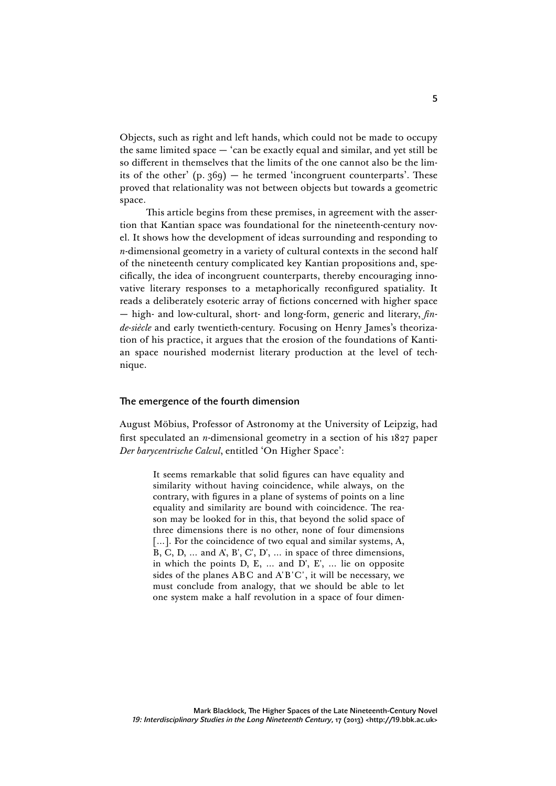Objects, such as right and left hands, which could not be made to occupy the same limited space — 'can be exactly equal and similar, and yet still be so different in themselves that the limits of the one cannot also be the limits of the other'  $(p. 369)$  — he termed 'incongruent counterparts'. These proved that relationality was not between objects but towards a geometric space.

This article begins from these premises, in agreement with the assertion that Kantian space was foundational for the nineteenth-century novel. It shows how the development of ideas surrounding and responding to *n*-dimensional geometry in a variety of cultural contexts in the second half of the nineteenth century complicated key Kantian propositions and, specifically, the idea of incongruent counterparts, thereby encouraging innovative literary responses to a metaphorically reconfigured spatiality. It reads a deliberately esoteric array of fictions concerned with higher space — high- and low-cultural, short- and long-form, generic and literary, *finde-siècle* and early twentieth-century. Focusing on Henry James's theorization of his practice, it argues that the erosion of the foundations of Kantian space nourished modernist literary production at the level of technique.

#### The emergence of the fourth dimension

August Möbius, Professor of Astronomy at the University of Leipzig, had first speculated an *n*-dimensional geometry in a section of his 1827 paper *Der barycentrische Calcul*, entitled 'On Higher Space':

> It seems remarkable that solid figures can have equality and similarity without having coincidence, while always, on the contrary, with figures in a plane of systems of points on a line equality and similarity are bound with coincidence. The reason may be looked for in this, that beyond the solid space of three dimensions there is no other, none of four dimensions [...]. For the coincidence of two equal and similar systems, A, B, C, D, … and A', B', C', D', … in space of three dimensions, in which the points D, E, … and D', E', … lie on opposite sides of the planes ABC and A'B'C', it will be necessary, we must conclude from analogy, that we should be able to let one system make a half revolution in a space of four dimen-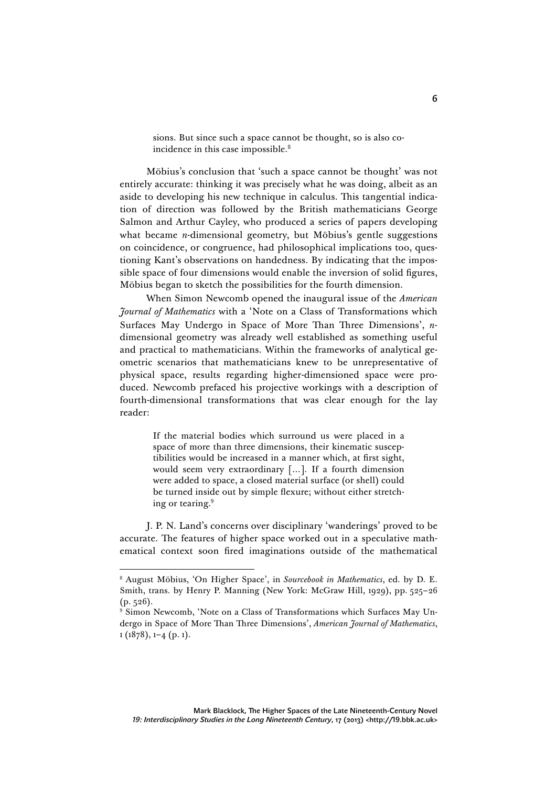sions. But since such a space cannot be thought, so is also coincidence in this case impossible.<sup>8</sup>

Möbius's conclusion that 'such a space cannot be thought' was not entirely accurate: thinking it was precisely what he was doing, albeit as an aside to developing his new technique in calculus. This tangential indication of direction was followed by the British mathematicians George Salmon and Arthur Cayley, who produced a series of papers developing what became *n*-dimensional geometry, but Möbius's gentle suggestions on coincidence, or congruence, had philosophical implications too, questioning Kant's observations on handedness. By indicating that the impossible space of four dimensions would enable the inversion of solid figures, Möbius began to sketch the possibilities for the fourth dimension.

When Simon Newcomb opened the inaugural issue of the *American Journal of Mathematics* with a 'Note on a Class of Transformations which Surfaces May Undergo in Space of More Than Three Dimensions', *n*dimensional geometry was already well established as something useful and practical to mathematicians. Within the frameworks of analytical geometric scenarios that mathematicians knew to be unrepresentative of physical space, results regarding higher-dimensioned space were produced. Newcomb prefaced his projective workings with a description of fourth-dimensional transformations that was clear enough for the lay reader:

> If the material bodies which surround us were placed in a space of more than three dimensions, their kinematic susceptibilities would be increased in a manner which, at first sight, would seem very extraordinary […]. If a fourth dimension were added to space, a closed material surface (or shell) could be turned inside out by simple flexure; without either stretching or tearing.<sup>9</sup>

J. P. N. Land's concerns over disciplinary 'wanderings' proved to be accurate. The features of higher space worked out in a speculative mathematical context soon fired imaginations outside of the mathematical

<sup>8</sup> August Möbius, 'On Higher Space', in *Sourcebook in Mathematics*, ed. by D. E. Smith, trans. by Henry P. Manning (New York: McGraw Hill, 1929), pp. 525–26  $(p. 526)$ .

<sup>&</sup>lt;sup>9</sup> Simon Newcomb, 'Note on a Class of Transformations which Surfaces May Undergo in Space of More Than Three Dimensions', *American Journal of Mathematics*, 1 (1878), 1–4 (p. 1).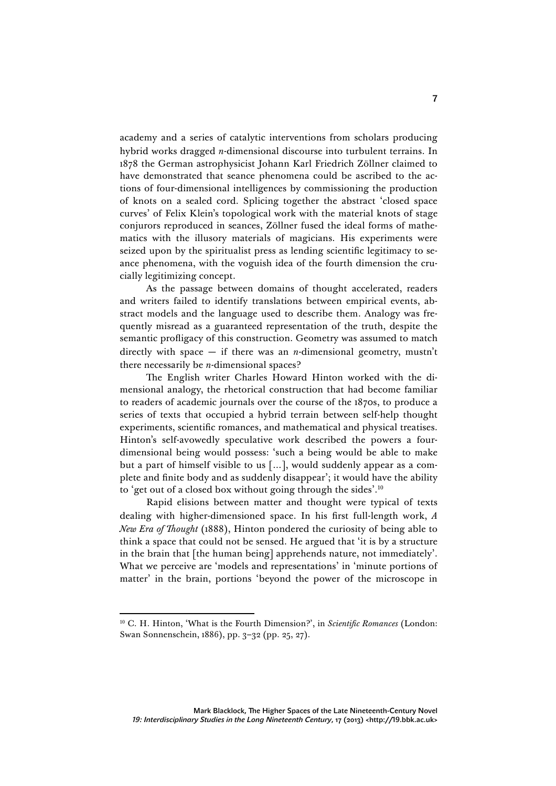academy and a series of catalytic interventions from scholars producing hybrid works dragged *n*-dimensional discourse into turbulent terrains. In 1878 the German astrophysicist Johann Karl Friedrich Zöllner claimed to have demonstrated that seance phenomena could be ascribed to the actions of four-dimensional intelligences by commissioning the production of knots on a sealed cord. Splicing together the abstract 'closed space curves' of Felix Klein's topological work with the material knots of stage conjurors reproduced in seances, Zöllner fused the ideal forms of mathematics with the illusory materials of magicians. His experiments were seized upon by the spiritualist press as lending scientific legitimacy to seance phenomena, with the voguish idea of the fourth dimension the crucially legitimizing concept.

As the passage between domains of thought accelerated, readers and writers failed to identify translations between empirical events, abstract models and the language used to describe them. Analogy was frequently misread as a guaranteed representation of the truth, despite the semantic profligacy of this construction. Geometry was assumed to match directly with space  $-$  if there was an *n*-dimensional geometry, mustn't there necessarily be *n*-dimensional spaces?

The English writer Charles Howard Hinton worked with the dimensional analogy, the rhetorical construction that had become familiar to readers of academic journals over the course of the 1870s, to produce a series of texts that occupied a hybrid terrain between self-help thought experiments, scientific romances, and mathematical and physical treatises. Hinton's self-avowedly speculative work described the powers a fourdimensional being would possess: 'such a being would be able to make but a part of himself visible to us […], would suddenly appear as a complete and finite body and as suddenly disappear'; it would have the ability to 'get out of a closed box without going through the sides'.10

Rapid elisions between matter and thought were typical of texts dealing with higher-dimensioned space. In his first full-length work, *A New Era of Thought* (1888), Hinton pondered the curiosity of being able to think a space that could not be sensed. He argued that 'it is by a structure in the brain that [the human being] apprehends nature, not immediately'. What we perceive are 'models and representations' in 'minute portions of matter' in the brain, portions 'beyond the power of the microscope in

<sup>10</sup> C. H. Hinton, 'What is the Fourth Dimension?', in *Scientific Romances* (London: Swan Sonnenschein, 1886), pp. 3–32 (pp. 25, 27).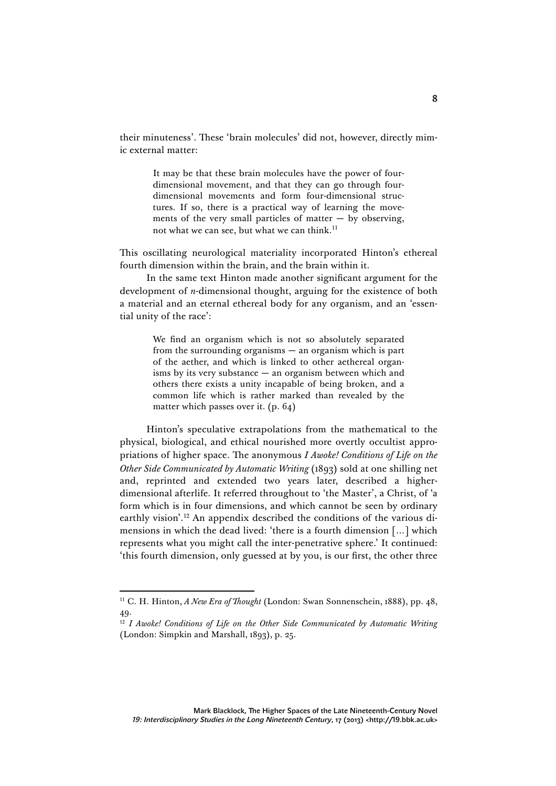their minuteness'. These 'brain molecules' did not, however, directly mimic external matter:

> It may be that these brain molecules have the power of fourdimensional movement, and that they can go through fourdimensional movements and form four-dimensional structures. If so, there is a practical way of learning the movements of the very small particles of matter  $-$  by observing, not what we can see, but what we can think.<sup>11</sup>

This oscillating neurological materiality incorporated Hinton's ethereal fourth dimension within the brain, and the brain within it.

In the same text Hinton made another significant argument for the development of *n*-dimensional thought, arguing for the existence of both a material and an eternal ethereal body for any organism, and an 'essential unity of the race':

> We find an organism which is not so absolutely separated from the surrounding organisms — an organism which is part of the aether, and which is linked to other aethereal organisms by its very substance — an organism between which and others there exists a unity incapable of being broken, and a common life which is rather marked than revealed by the matter which passes over it. (p. 64)

Hinton's speculative extrapolations from the mathematical to the physical, biological, and ethical nourished more overtly occultist appropriations of higher space. The anonymous *I Awoke! Conditions of Life on the Other Side Communicated by Automatic Writing* (1893) sold at one shilling net and, reprinted and extended two years later, described a higherdimensional afterlife. It referred throughout to 'the Master', a Christ, of 'a form which is in four dimensions, and which cannot be seen by ordinary earthly vision'.12 An appendix described the conditions of the various dimensions in which the dead lived: 'there is a fourth dimension […] which represents what you might call the inter-penetrative sphere.' It continued: 'this fourth dimension, only guessed at by you, is our first, the other three

<sup>11</sup> C. H. Hinton, *A New Era of Thought* (London: Swan Sonnenschein, 1888), pp. 48, 49.

<sup>&</sup>lt;sup>12</sup> *I Awoke! Conditions of Life on the Other Side Communicated by Automatic Writing* (London: Simpkin and Marshall, 1893), p. 25.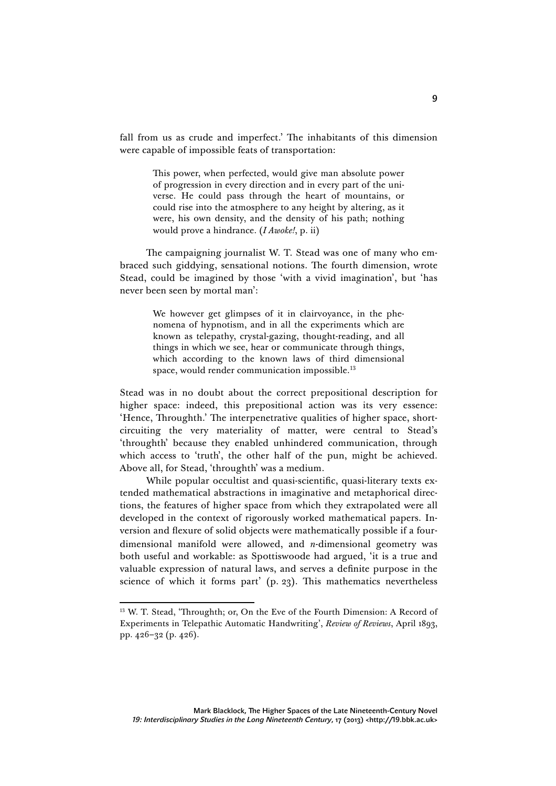fall from us as crude and imperfect.' The inhabitants of this dimension were capable of impossible feats of transportation:

> This power, when perfected, would give man absolute power of progression in every direction and in every part of the universe. He could pass through the heart of mountains, or could rise into the atmosphere to any height by altering, as it were, his own density, and the density of his path; nothing would prove a hindrance. (*I Awoke!*, p. ii)

The campaigning journalist W. T. Stead was one of many who embraced such giddying, sensational notions. The fourth dimension, wrote Stead, could be imagined by those 'with a vivid imagination', but 'has never been seen by mortal man':

> We however get glimpses of it in clairvoyance, in the phenomena of hypnotism, and in all the experiments which are known as telepathy, crystal-gazing, thought-reading, and all things in which we see, hear or communicate through things, which according to the known laws of third dimensional space, would render communication impossible.<sup>13</sup>

Stead was in no doubt about the correct prepositional description for higher space: indeed, this prepositional action was its very essence: 'Hence, Throughth.' The interpenetrative qualities of higher space, shortcircuiting the very materiality of matter, were central to Stead's 'throughth' because they enabled unhindered communication, through which access to 'truth', the other half of the pun, might be achieved. Above all, for Stead, 'throughth' was a medium.

While popular occultist and quasi-scientific, quasi-literary texts extended mathematical abstractions in imaginative and metaphorical directions, the features of higher space from which they extrapolated were all developed in the context of rigorously worked mathematical papers. Inversion and flexure of solid objects were mathematically possible if a fourdimensional manifold were allowed, and *n*-dimensional geometry was both useful and workable: as Spottiswoode had argued, 'it is a true and valuable expression of natural laws, and serves a definite purpose in the science of which it forms part' (p. 23). This mathematics nevertheless

<sup>&</sup>lt;sup>13</sup> W. T. Stead, 'Throughth; or, On the Eve of the Fourth Dimension: A Record of Experiments in Telepathic Automatic Handwriting', *Review of Reviews*, April 1893, pp. 426–32 (p. 426).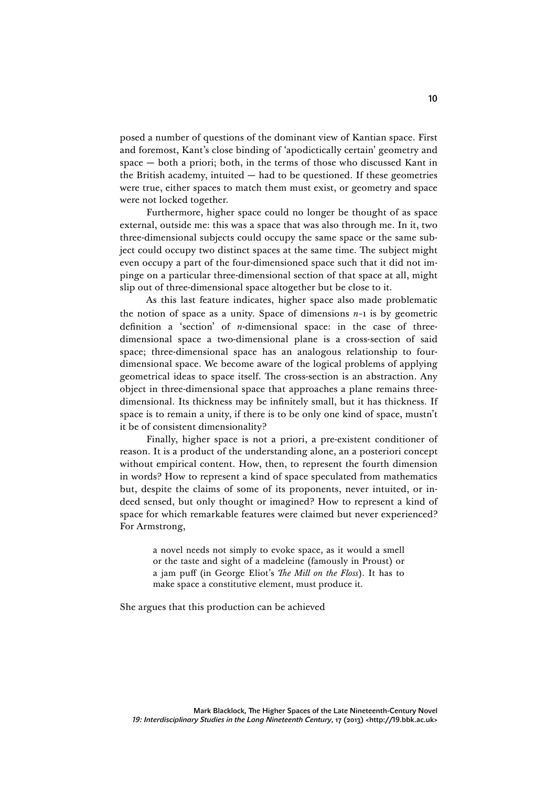posed a number of questions of the dominant view of Kantian space. First and foremost, Kant's close binding of 'apodictically certain' geometry and space — both a priori; both, in the terms of those who discussed Kant in the British academy, intuited — had to be questioned. If these geometries were true, either spaces to match them must exist, or geometry and space were not locked together.

Furthermore, higher space could no longer be thought of as space external, outside me: this was a space that was also through me. In it, two three-dimensional subjects could occupy the same space or the same subject could occupy two distinct spaces at the same time. The subject might even occupy a part of the four-dimensioned space such that it did not impinge on a particular three-dimensional section of that space at all, might slip out of three-dimensional space altogether but be close to it.

As this last feature indicates, higher space also made problematic the notion of space as a unity. Space of dimensions *n*−1 is by geometric definition a 'section' of *n*-dimensional space: in the case of threedimensional space a two-dimensional plane is a cross-section of said space; three-dimensional space has an analogous relationship to fourdimensional space. We become aware of the logical problems of applying geometrical ideas to space itself. The cross-section is an abstraction. Any object in three-dimensional space that approaches a plane remains threedimensional. Its thickness may be infinitely small, but it has thickness. If space is to remain a unity, if there is to be only one kind of space, mustn't it be of consistent dimensionality?

Finally, higher space is not a priori, a pre-existent conditioner of reason. It is a product of the understanding alone, an a posteriori concept without empirical content. How, then, to represent the fourth dimension in words? How to represent a kind of space speculated from mathematics but, despite the claims of some of its proponents, never intuited, or indeed sensed, but only thought or imagined? How to represent a kind of space for which remarkable features were claimed but never experienced? For Armstrong,

> a novel needs not simply to evoke space, as it would a smell or the taste and sight of a madeleine (famously in Proust) or a jam puff (in George Eliot's *The Mill on the Floss*). It has to make space a constitutive element, must produce it.

She argues that this production can be achieved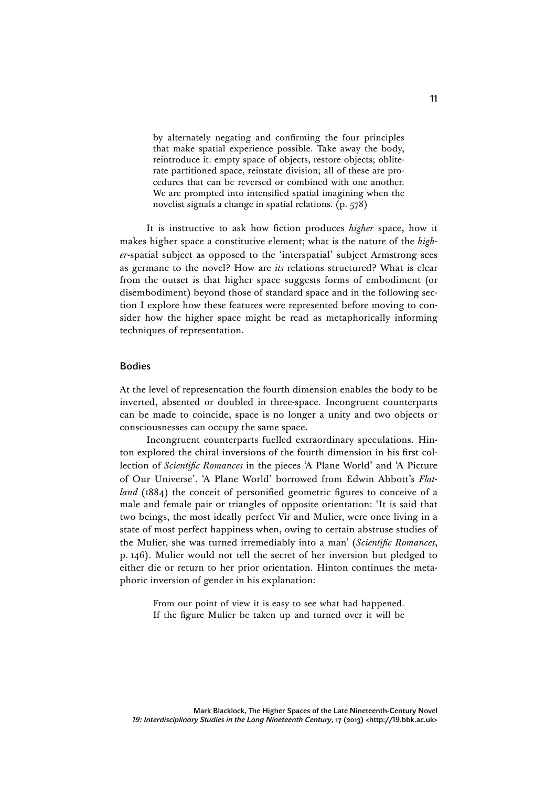by alternately negating and confirming the four principles that make spatial experience possible. Take away the body, reintroduce it: empty space of objects, restore objects; obliterate partitioned space, reinstate division; all of these are procedures that can be reversed or combined with one another. We are prompted into intensified spatial imagining when the novelist signals a change in spatial relations. (p. 578)

It is instructive to ask how fiction produces *higher* space, how it makes higher space a constitutive element; what is the nature of the *higher*-spatial subject as opposed to the 'interspatial' subject Armstrong sees as germane to the novel? How are *its* relations structured? What is clear from the outset is that higher space suggests forms of embodiment (or disembodiment) beyond those of standard space and in the following section I explore how these features were represented before moving to consider how the higher space might be read as metaphorically informing techniques of representation.

### Bodies

At the level of representation the fourth dimension enables the body to be inverted, absented or doubled in three-space. Incongruent counterparts can be made to coincide, space is no longer a unity and two objects or consciousnesses can occupy the same space.

Incongruent counterparts fuelled extraordinary speculations. Hinton explored the chiral inversions of the fourth dimension in his first collection of *Scientific Romances* in the pieces 'A Plane World' and 'A Picture of Our Universe'. 'A Plane World' borrowed from Edwin Abbott's *Flatland* (1884) the conceit of personified geometric figures to conceive of a male and female pair or triangles of opposite orientation: 'It is said that two beings, the most ideally perfect Vir and Mulier, were once living in a state of most perfect happiness when, owing to certain abstruse studies of the Mulier, she was turned irremediably into a man' (*Scientific Romances*, p. 146). Mulier would not tell the secret of her inversion but pledged to either die or return to her prior orientation. Hinton continues the metaphoric inversion of gender in his explanation:

> From our point of view it is easy to see what had happened. If the figure Mulier be taken up and turned over it will be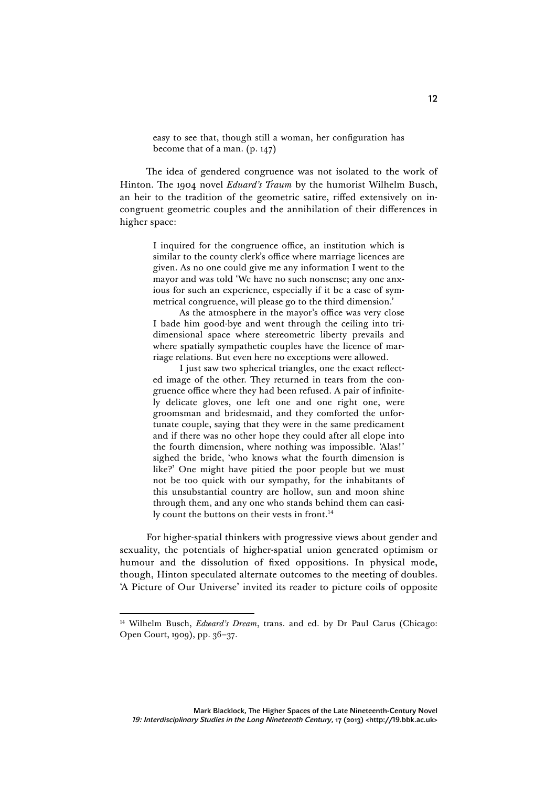easy to see that, though still a woman, her configuration has become that of a man. (p. 147)

The idea of gendered congruence was not isolated to the work of Hinton. The 1904 novel *Eduard's Traum* by the humorist Wilhelm Busch, an heir to the tradition of the geometric satire, riffed extensively on incongruent geometric couples and the annihilation of their differences in higher space:

> I inquired for the congruence office, an institution which is similar to the county clerk's office where marriage licences are given. As no one could give me any information I went to the mayor and was told 'We have no such nonsense; any one anxious for such an experience, especially if it be a case of symmetrical congruence, will please go to the third dimension.'

> As the atmosphere in the mayor's office was very close I bade him good-bye and went through the ceiling into tridimensional space where stereometric liberty prevails and where spatially sympathetic couples have the licence of marriage relations. But even here no exceptions were allowed.

> I just saw two spherical triangles, one the exact reflected image of the other. They returned in tears from the congruence office where they had been refused. A pair of infinitely delicate gloves, one left one and one right one, were groomsman and bridesmaid, and they comforted the unfortunate couple, saying that they were in the same predicament and if there was no other hope they could after all elope into the fourth dimension, where nothing was impossible. 'Alas!' sighed the bride, 'who knows what the fourth dimension is like?' One might have pitied the poor people but we must not be too quick with our sympathy, for the inhabitants of this unsubstantial country are hollow, sun and moon shine through them, and any one who stands behind them can easily count the buttons on their vests in front.<sup>14</sup>

For higher-spatial thinkers with progressive views about gender and sexuality, the potentials of higher-spatial union generated optimism or humour and the dissolution of fixed oppositions. In physical mode, though, Hinton speculated alternate outcomes to the meeting of doubles. 'A Picture of Our Universe' invited its reader to picture coils of opposite

<sup>14</sup> Wilhelm Busch, *Edward's Dream*, trans. and ed. by Dr Paul Carus (Chicago: Open Court, 1909), pp. 36–37.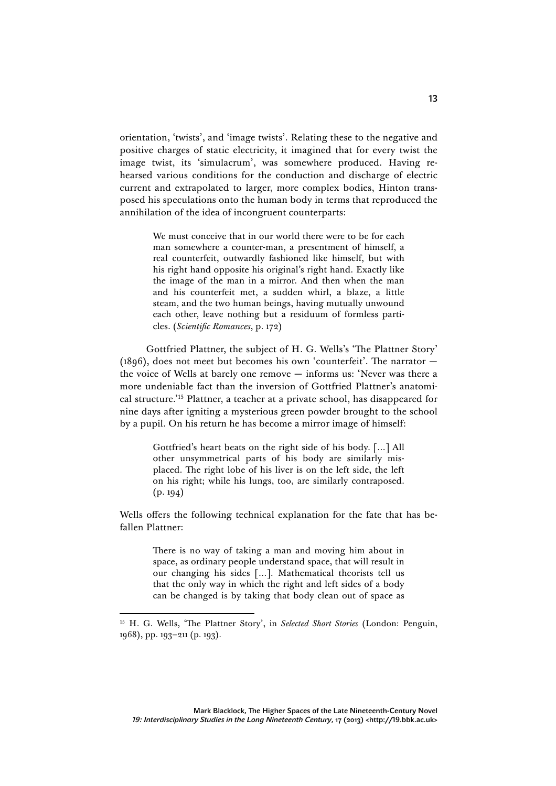orientation, 'twists', and 'image twists'. Relating these to the negative and positive charges of static electricity, it imagined that for every twist the image twist, its 'simulacrum', was somewhere produced. Having rehearsed various conditions for the conduction and discharge of electric current and extrapolated to larger, more complex bodies, Hinton transposed his speculations onto the human body in terms that reproduced the annihilation of the idea of incongruent counterparts:

> We must conceive that in our world there were to be for each man somewhere a counter-man, a presentment of himself, a real counterfeit, outwardly fashioned like himself, but with his right hand opposite his original's right hand. Exactly like the image of the man in a mirror. And then when the man and his counterfeit met, a sudden whirl, a blaze, a little steam, and the two human beings, having mutually unwound each other, leave nothing but a residuum of formless particles. (*Scientific Romances*, p. 172)

Gottfried Plattner, the subject of H. G. Wells's 'The Plattner Story' (1896), does not meet but becomes his own 'counterfeit'. The narrator  $$ the voice of Wells at barely one remove — informs us: 'Never was there a more undeniable fact than the inversion of Gottfried Plattner's anatomical structure.'15 Plattner, a teacher at a private school, has disappeared for nine days after igniting a mysterious green powder brought to the school by a pupil. On his return he has become a mirror image of himself:

> Gottfried's heart beats on the right side of his body. […] All other unsymmetrical parts of his body are similarly misplaced. The right lobe of his liver is on the left side, the left on his right; while his lungs, too, are similarly contraposed.  $(p. 194)$

Wells offers the following technical explanation for the fate that has befallen Plattner:

> There is no way of taking a man and moving him about in space, as ordinary people understand space, that will result in our changing his sides […]. Mathematical theorists tell us that the only way in which the right and left sides of a body can be changed is by taking that body clean out of space as

<sup>&</sup>lt;sup>15</sup> H. G. Wells, 'The Plattner Story', in *Selected Short Stories* (London: Penguin, 1968), pp. 193–211 (p. 193).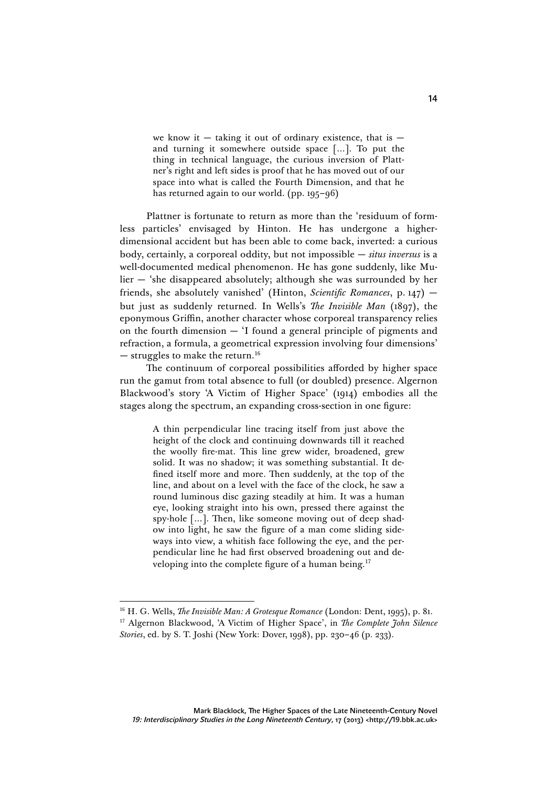we know it  $-$  taking it out of ordinary existence, that is  $$ and turning it somewhere outside space […]. To put the thing in technical language, the curious inversion of Plattner's right and left sides is proof that he has moved out of our space into what is called the Fourth Dimension, and that he has returned again to our world. (pp. 195–96)

Plattner is fortunate to return as more than the 'residuum of formless particles' envisaged by Hinton. He has undergone a higherdimensional accident but has been able to come back, inverted: a curious body, certainly, a corporeal oddity, but not impossible — *situs inversus* is a well-documented medical phenomenon. He has gone suddenly, like Mulier — 'she disappeared absolutely; although she was surrounded by her friends, she absolutely vanished' (Hinton, *Scientific Romances*, p. 147) but just as suddenly returned. In Wells's *The Invisible Man* (1897), the eponymous Griffin, another character whose corporeal transparency relies on the fourth dimension — 'I found a general principle of pigments and refraction, a formula, a geometrical expression involving four dimensions'  $-$  struggles to make the return.<sup>16</sup>

The continuum of corporeal possibilities afforded by higher space run the gamut from total absence to full (or doubled) presence. Algernon Blackwood's story 'A Victim of Higher Space' (1914) embodies all the stages along the spectrum, an expanding cross-section in one figure:

> A thin perpendicular line tracing itself from just above the height of the clock and continuing downwards till it reached the woolly fire-mat. This line grew wider, broadened, grew solid. It was no shadow; it was something substantial. It defined itself more and more. Then suddenly, at the top of the line, and about on a level with the face of the clock, he saw a round luminous disc gazing steadily at him. It was a human eye, looking straight into his own, pressed there against the spy-hole […]. Then, like someone moving out of deep shadow into light, he saw the figure of a man come sliding sideways into view, a whitish face following the eye, and the perpendicular line he had first observed broadening out and developing into the complete figure of a human being.<sup>17</sup>

<sup>16</sup> H. G. Wells, *The Invisible Man: A Grotesque Romance* (London: Dent, 1995), p. 81. <sup>17</sup> Algernon Blackwood, 'A Victim of Higher Space', in *The Complete John Silence Stories*, ed. by S. T. Joshi (New York: Dover, 1998), pp. 230–46 (p. 233).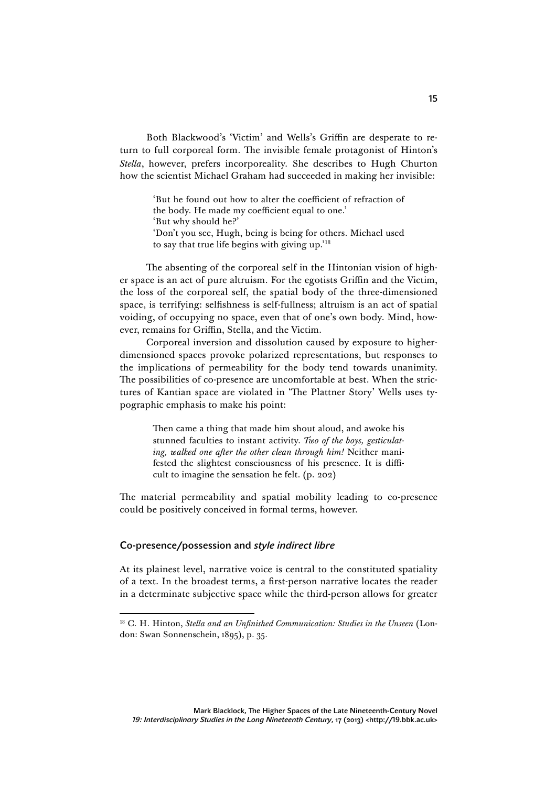Both Blackwood's 'Victim' and Wells's Griffin are desperate to return to full corporeal form. The invisible female protagonist of Hinton's *Stella*, however, prefers incorporeality. She describes to Hugh Churton how the scientist Michael Graham had succeeded in making her invisible:

> 'But he found out how to alter the coefficient of refraction of the body. He made my coefficient equal to one.' 'But why should he?' 'Don't you see, Hugh, being is being for others. Michael used to say that true life begins with giving up.'<sup>18</sup>

The absenting of the corporeal self in the Hintonian vision of higher space is an act of pure altruism. For the egotists Griffin and the Victim, the loss of the corporeal self, the spatial body of the three-dimensioned space, is terrifying: selfishness is self-fullness; altruism is an act of spatial voiding, of occupying no space, even that of one's own body. Mind, however, remains for Griffin, Stella, and the Victim.

Corporeal inversion and dissolution caused by exposure to higherdimensioned spaces provoke polarized representations, but responses to the implications of permeability for the body tend towards unanimity. The possibilities of co-presence are uncomfortable at best. When the strictures of Kantian space are violated in 'The Plattner Story' Wells uses typographic emphasis to make his point:

> Then came a thing that made him shout aloud, and awoke his stunned faculties to instant activity. *Two of the boys, gesticulating, walked one after the other clean through him!* Neither manifested the slightest consciousness of his presence. It is difficult to imagine the sensation he felt. (p. 202)

The material permeability and spatial mobility leading to co-presence could be positively conceived in formal terms, however.

## Co-presence/possession and *style indirect libre*

At its plainest level, narrative voice is central to the constituted spatiality of a text. In the broadest terms, a first-person narrative locates the reader in a determinate subjective space while the third-person allows for greater

<sup>18</sup> C. H. Hinton, *Stella and an Unfinished Communication: Studies in the Unseen* (London: Swan Sonnenschein, 1895), p. 35.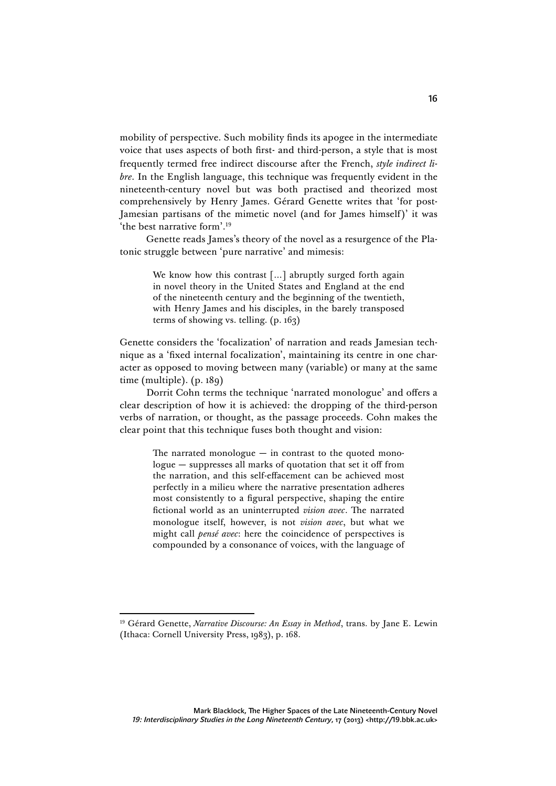mobility of perspective. Such mobility finds its apogee in the intermediate voice that uses aspects of both first- and third-person, a style that is most frequently termed free indirect discourse after the French, *style indirect libre*. In the English language, this technique was frequently evident in the nineteenth-century novel but was both practised and theorized most comprehensively by Henry James. Gérard Genette writes that 'for post-Jamesian partisans of the mimetic novel (and for James himself)' it was 'the best narrative form'.19

Genette reads James's theory of the novel as a resurgence of the Platonic struggle between 'pure narrative' and mimesis:

> We know how this contrast [...] abruptly surged forth again in novel theory in the United States and England at the end of the nineteenth century and the beginning of the twentieth, with Henry James and his disciples, in the barely transposed terms of showing vs. telling. (p. 163)

Genette considers the 'focalization' of narration and reads Jamesian technique as a 'fixed internal focalization', maintaining its centre in one character as opposed to moving between many (variable) or many at the same time (multiple). (p. 189)

Dorrit Cohn terms the technique 'narrated monologue' and offers a clear description of how it is achieved: the dropping of the third-person verbs of narration, or thought, as the passage proceeds. Cohn makes the clear point that this technique fuses both thought and vision:

> The narrated monologue  $-$  in contrast to the quoted monologue — suppresses all marks of quotation that set it off from the narration, and this self-effacement can be achieved most perfectly in a milieu where the narrative presentation adheres most consistently to a figural perspective, shaping the entire fictional world as an uninterrupted *vision avec*. The narrated monologue itself, however, is not *vision avec*, but what we might call *pensé avec*: here the coincidence of perspectives is compounded by a consonance of voices, with the language of

<sup>&</sup>lt;sup>19</sup> Gérard Genette, *Narrative Discourse: An Essay in Method*, trans. by Jane E. Lewin (Ithaca: Cornell University Press, 1983), p. 168.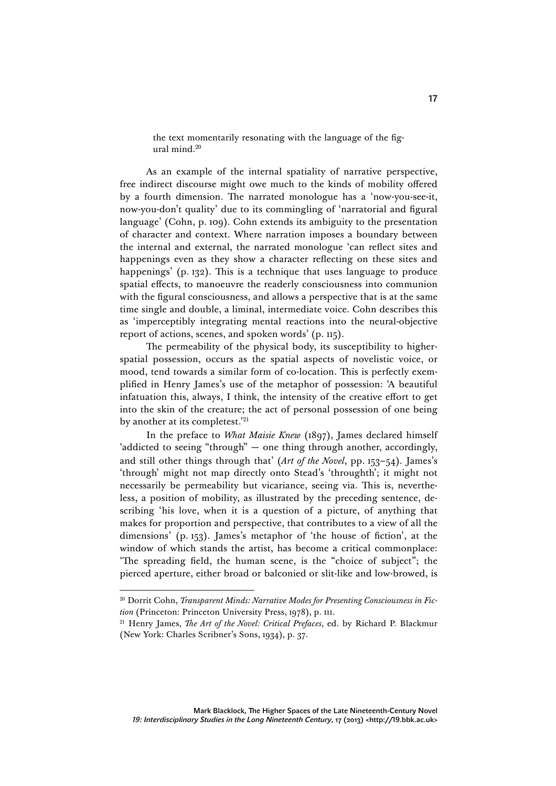the text momentarily resonating with the language of the figural mind.20

As an example of the internal spatiality of narrative perspective, free indirect discourse might owe much to the kinds of mobility offered by a fourth dimension. The narrated monologue has a 'now-you-see-it, now-you-don't quality' due to its commingling of 'narratorial and figural language' (Cohn, p. 109). Cohn extends its ambiguity to the presentation of character and context. Where narration imposes a boundary between the internal and external, the narrated monologue 'can reflect sites and happenings even as they show a character reflecting on these sites and happenings' (p. 132). This is a technique that uses language to produce spatial effects, to manoeuvre the readerly consciousness into communion with the figural consciousness, and allows a perspective that is at the same time single and double, a liminal, intermediate voice. Cohn describes this as 'imperceptibly integrating mental reactions into the neural-objective report of actions, scenes, and spoken words' (p. 115).

The permeability of the physical body, its susceptibility to higherspatial possession, occurs as the spatial aspects of novelistic voice, or mood, tend towards a similar form of co-location. This is perfectly exemplified in Henry James's use of the metaphor of possession: 'A beautiful infatuation this, always, I think, the intensity of the creative effort to get into the skin of the creature; the act of personal possession of one being by another at its completest.<sup>'21</sup>

In the preface to *What Maisie Knew* (1897), James declared himself 'addicted to seeing "through" — one thing through another, accordingly, and still other things through that' (*Art of the Novel*, pp. 153–54). James's 'through' might not map directly onto Stead's 'throughth'; it might not necessarily be permeability but vicariance, seeing via. This is, nevertheless, a position of mobility, as illustrated by the preceding sentence, describing 'his love, when it is a question of a picture, of anything that makes for proportion and perspective, that contributes to a view of all the dimensions' (p. 153). James's metaphor of 'the house of fiction', at the window of which stands the artist, has become a critical commonplace: 'The spreading field, the human scene, is the "choice of subject"; the pierced aperture, either broad or balconied or slit-like and low-browed, is

<sup>20</sup> Dorrit Cohn, *Transparent Minds: Narrative Modes for Presenting Consciousness in Fiction* (Princeton: Princeton University Press, 1978), p. 111.

<sup>21</sup> Henry James, *The Art of the Novel: Critical Prefaces*, ed. by Richard P. Blackmur (New York: Charles Scribner's Sons, 1934), p. 37.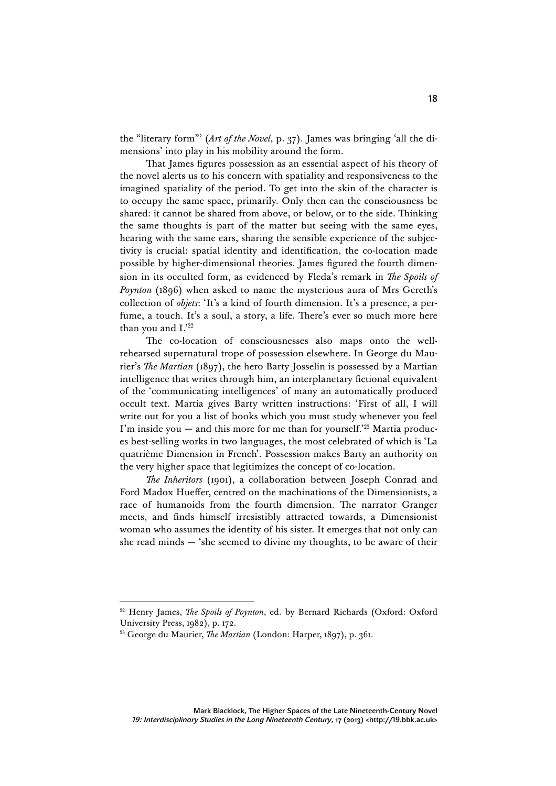the "literary form"' (*Art of the Novel*, p. 37). James was bringing 'all the dimensions' into play in his mobility around the form.

That James figures possession as an essential aspect of his theory of the novel alerts us to his concern with spatiality and responsiveness to the imagined spatiality of the period. To get into the skin of the character is to occupy the same space, primarily. Only then can the consciousness be shared: it cannot be shared from above, or below, or to the side. Thinking the same thoughts is part of the matter but seeing with the same eyes, hearing with the same ears, sharing the sensible experience of the subjectivity is crucial: spatial identity and identification, the co-location made possible by higher-dimensional theories. James figured the fourth dimension in its occulted form, as evidenced by Fleda's remark in *The Spoils of Poynton* (1896) when asked to name the mysterious aura of Mrs Gereth's collection of *objets*: 'It's a kind of fourth dimension. It's a presence, a perfume, a touch. It's a soul, a story, a life. There's ever so much more here than you and I.'22

The co-location of consciousnesses also maps onto the wellrehearsed supernatural trope of possession elsewhere. In George du Maurier's *The Martian* (1897), the hero Barty Josselin is possessed by a Martian intelligence that writes through him, an interplanetary fictional equivalent of the 'communicating intelligences' of many an automatically produced occult text. Martia gives Barty written instructions: 'First of all, I will write out for you a list of books which you must study whenever you feel I'm inside you  $-$  and this more for me than for yourself.<sup>223</sup> Martia produces best-selling works in two languages, the most celebrated of which is 'La quatrième Dimension in French'. Possession makes Barty an authority on the very higher space that legitimizes the concept of co-location.

*The Inheritors* (1901), a collaboration between Joseph Conrad and Ford Madox Hueffer, centred on the machinations of the Dimensionists, a race of humanoids from the fourth dimension. The narrator Granger meets, and finds himself irresistibly attracted towards, a Dimensionist woman who assumes the identity of his sister. It emerges that not only can she read minds  $-$  'she seemed to divine my thoughts, to be aware of their

<sup>22</sup> Henry James, *The Spoils of Poynton*, ed. by Bernard Richards (Oxford: Oxford University Press, 1982), p. 172.

<sup>23</sup> George du Maurier, *The Martian* (London: Harper, 1897), p. 361.